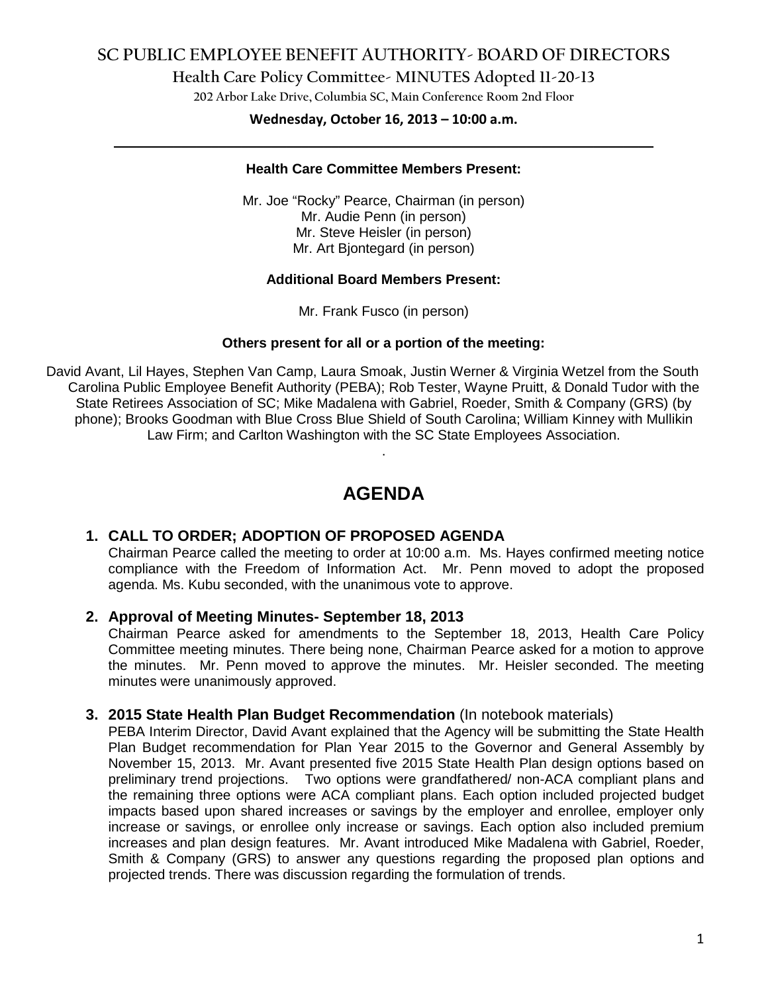# **SC PUBLIC EMPLOYEE BENEFIT AUTHORITY- BOARD OF DIRECTORS**

**Health Care Policy Committee- MINUTES Adopted 11-20-13**

**202 Arbor Lake Drive, Columbia SC, Main Conference Room 2nd Floor**

# **Wednesday, October 16, 2013 – 10:00 a.m. \_\_\_\_\_\_\_\_\_\_\_\_\_\_\_\_\_\_\_\_\_\_\_\_\_\_\_\_\_\_\_\_\_\_\_\_\_\_\_\_\_\_\_\_\_\_\_\_\_\_\_\_\_\_\_\_\_\_\_\_\_\_\_\_\_\_\_\_\_\_\_\_**

#### **Health Care Committee Members Present:**

Mr. Joe "Rocky" Pearce, Chairman (in person) Mr. Audie Penn (in person) Mr. Steve Heisler (in person) Mr. Art Bjontegard (in person)

### **Additional Board Members Present:**

Mr. Frank Fusco (in person)

#### **Others present for all or a portion of the meeting:**

David Avant, Lil Hayes, Stephen Van Camp, Laura Smoak, Justin Werner & Virginia Wetzel from the South Carolina Public Employee Benefit Authority (PEBA); Rob Tester, Wayne Pruitt, & Donald Tudor with the State Retirees Association of SC; Mike Madalena with Gabriel, Roeder, Smith & Company (GRS) (by phone); Brooks Goodman with Blue Cross Blue Shield of South Carolina; William Kinney with Mullikin Law Firm; and Carlton Washington with the SC State Employees Association.

# **AGENDA**

.

## **1. CALL TO ORDER; ADOPTION OF PROPOSED AGENDA**

Chairman Pearce called the meeting to order at 10:00 a.m. Ms. Hayes confirmed meeting notice compliance with the Freedom of Information Act. Mr. Penn moved to adopt the proposed agenda. Ms. Kubu seconded, with the unanimous vote to approve.

### **2. Approval of Meeting Minutes- September 18, 2013**

Chairman Pearce asked for amendments to the September 18, 2013, Health Care Policy Committee meeting minutes. There being none, Chairman Pearce asked for a motion to approve the minutes. Mr. Penn moved to approve the minutes. Mr. Heisler seconded. The meeting minutes were unanimously approved.

### **3. 2015 State Health Plan Budget Recommendation** (In notebook materials)

PEBA Interim Director, David Avant explained that the Agency will be submitting the State Health Plan Budget recommendation for Plan Year 2015 to the Governor and General Assembly by November 15, 2013. Mr. Avant presented five 2015 State Health Plan design options based on preliminary trend projections. Two options were grandfathered/ non-ACA compliant plans and the remaining three options were ACA compliant plans. Each option included projected budget impacts based upon shared increases or savings by the employer and enrollee, employer only increase or savings, or enrollee only increase or savings. Each option also included premium increases and plan design features. Mr. Avant introduced Mike Madalena with Gabriel, Roeder, Smith & Company (GRS) to answer any questions regarding the proposed plan options and projected trends. There was discussion regarding the formulation of trends.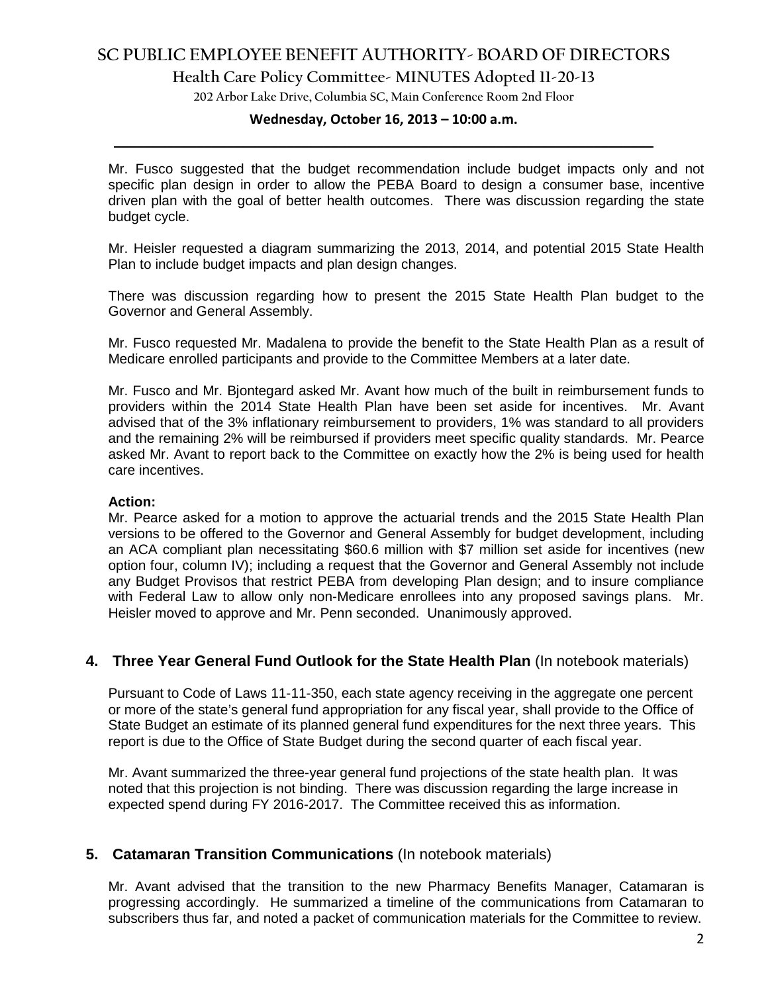# **SC PUBLIC EMPLOYEE BENEFIT AUTHORITY- BOARD OF DIRECTORS**

**Health Care Policy Committee- MINUTES Adopted 11-20-13**

**202 Arbor Lake Drive, Columbia SC, Main Conference Room 2nd Floor**

# **Wednesday, October 16, 2013 – 10:00 a.m. \_\_\_\_\_\_\_\_\_\_\_\_\_\_\_\_\_\_\_\_\_\_\_\_\_\_\_\_\_\_\_\_\_\_\_\_\_\_\_\_\_\_\_\_\_\_\_\_\_\_\_\_\_\_\_\_\_\_\_\_\_\_\_\_\_\_\_\_\_\_\_\_**

Mr. Fusco suggested that the budget recommendation include budget impacts only and not specific plan design in order to allow the PEBA Board to design a consumer base, incentive driven plan with the goal of better health outcomes. There was discussion regarding the state budget cycle.

Mr. Heisler requested a diagram summarizing the 2013, 2014, and potential 2015 State Health Plan to include budget impacts and plan design changes.

There was discussion regarding how to present the 2015 State Health Plan budget to the Governor and General Assembly.

Mr. Fusco requested Mr. Madalena to provide the benefit to the State Health Plan as a result of Medicare enrolled participants and provide to the Committee Members at a later date.

Mr. Fusco and Mr. Bjontegard asked Mr. Avant how much of the built in reimbursement funds to providers within the 2014 State Health Plan have been set aside for incentives. Mr. Avant advised that of the 3% inflationary reimbursement to providers, 1% was standard to all providers and the remaining 2% will be reimbursed if providers meet specific quality standards. Mr. Pearce asked Mr. Avant to report back to the Committee on exactly how the 2% is being used for health care incentives.

#### **Action:**

Mr. Pearce asked for a motion to approve the actuarial trends and the 2015 State Health Plan versions to be offered to the Governor and General Assembly for budget development, including an ACA compliant plan necessitating \$60.6 million with \$7 million set aside for incentives (new option four, column IV); including a request that the Governor and General Assembly not include any Budget Provisos that restrict PEBA from developing Plan design; and to insure compliance with Federal Law to allow only non-Medicare enrollees into any proposed savings plans. Mr. Heisler moved to approve and Mr. Penn seconded. Unanimously approved.

### **4. Three Year General Fund Outlook for the State Health Plan** (In notebook materials)

Pursuant to Code of Laws 11-11-350, each state agency receiving in the aggregate one percent or more of the state's general fund appropriation for any fiscal year, shall provide to the Office of State Budget an estimate of its planned general fund expenditures for the next three years. This report is due to the Office of State Budget during the second quarter of each fiscal year.

Mr. Avant summarized the three-year general fund projections of the state health plan. It was noted that this projection is not binding. There was discussion regarding the large increase in expected spend during FY 2016-2017. The Committee received this as information.

### **5. Catamaran Transition Communications** (In notebook materials)

Mr. Avant advised that the transition to the new Pharmacy Benefits Manager, Catamaran is progressing accordingly. He summarized a timeline of the communications from Catamaran to subscribers thus far, and noted a packet of communication materials for the Committee to review.